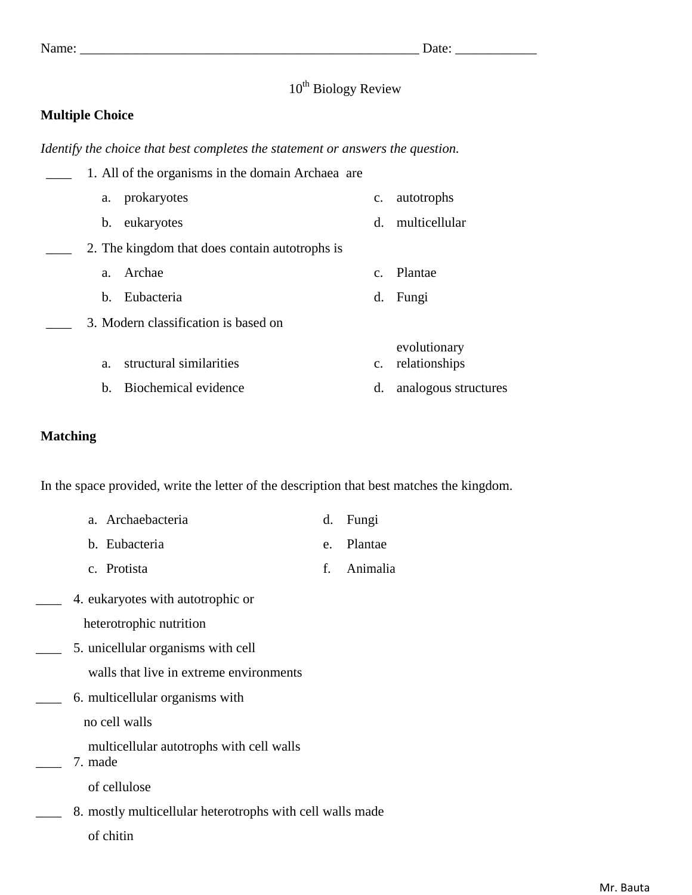# $10^{th}$  Biology Review

### **Multiple Choice**

*Identify the choice that best completes the statement or answers the question.*

|                | 1. All of the organisms in the domain Archaea are |                |                               |
|----------------|---------------------------------------------------|----------------|-------------------------------|
| a.             | prokaryotes                                       | $\mathbf{c}$ . | autotrophs                    |
| b.             | eukaryotes                                        | d.             | multicellular                 |
|                | 2. The kingdom that does contain autotrophs is    |                |                               |
| a.             | Archae                                            | $C_{-}$        | Plantae                       |
| $\mathbf{b}$ . | Eubacteria                                        | d.             | Fungi                         |
|                | 3. Modern classification is based on              |                |                               |
| a.             | structural similarities                           | $\mathbf{c}$ . | evolutionary<br>relationships |
| $h_{-}$        | Biochemical evidence                              | d.             | analogous structures          |

### **Matching**

In the space provided, write the letter of the description that best matches the kingdom.

| a. Archaebacteria | d. Fungi |
|-------------------|----------|
|                   |          |

- b. Eubacteria e. Plantae
- c. Protista f. Animalia
- \_\_\_\_ 4. eukaryotes with autotrophic or
	- heterotrophic nutrition
- \_\_\_\_ 5. unicellular organisms with cell
	- walls that live in extreme environments
- \_\_\_\_ 6. multicellular organisms with

no cell walls

- multicellular autotrophs with cell walls
- \_\_\_\_ 7. made

of cellulose

- 8. mostly multicellular heterotrophs with cell walls made
	- of chitin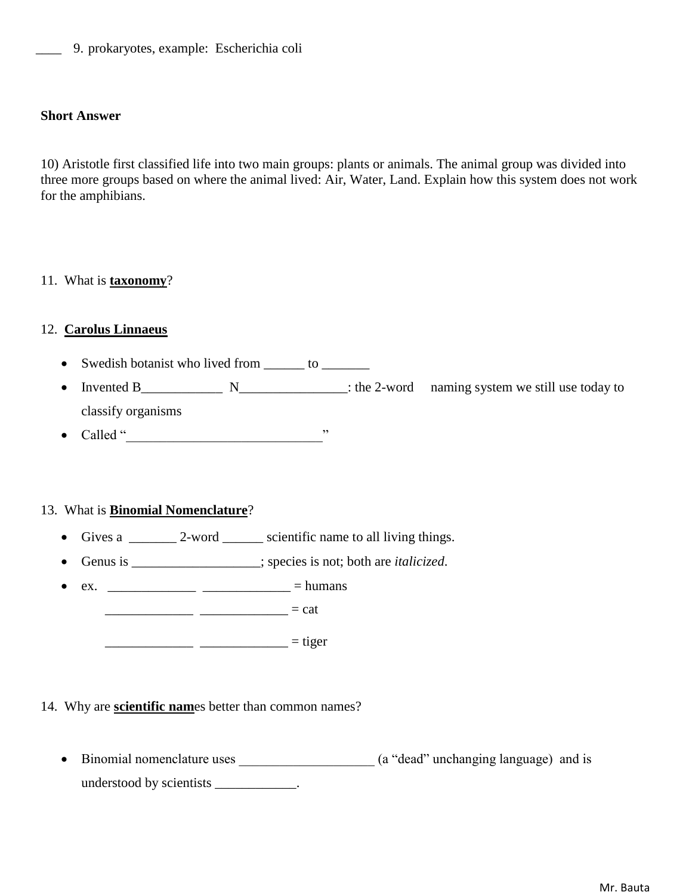\_\_\_\_ 9. prokaryotes, example: Escherichia coli

#### **Short Answer**

10) Aristotle first classified life into two main groups: plants or animals. The animal group was divided into three more groups based on where the animal lived: Air, Water, Land. Explain how this system does not work for the amphibians.

### 11. What is **taxonomy**?

### 12. **Carolus Linnaeus**

- Swedish botanist who lived from \_\_\_\_\_\_ to \_\_\_\_\_\_\_
- Invented B\_\_\_\_\_\_\_\_\_\_\_\_ N\_\_\_\_\_\_\_\_\_\_\_\_\_\_\_\_: the 2-word naming system we still use today to classify organisms
- Called "\_\_\_\_\_\_\_\_\_\_\_\_\_\_\_\_\_\_\_\_\_\_\_\_\_\_\_\_\_"

### 13. What is **Binomial Nomenclature**?

- Gives a  $\frac{2-\text{word}}{2-\text{word}}$  scientific name to all living things.
- Genus is \_\_\_\_\_\_\_\_\_\_\_\_\_\_\_\_\_\_\_; species is not; both are *italicized*.
- ex. \_\_\_\_\_\_\_\_\_\_\_\_\_ \_\_\_\_\_\_\_\_\_\_\_\_\_ = humans

 $\frac{1}{2}$  = cat

 $\frac{\sqrt{2}}{2}$  = tiger

### 14. Why are **scientific nam**es better than common names?

• Binomial nomenclature uses \_\_\_\_\_\_\_\_\_\_\_\_\_\_\_\_\_\_\_\_\_ (a "dead" unchanging language) and is understood by scientists \_\_\_\_\_\_\_\_\_\_\_\_.